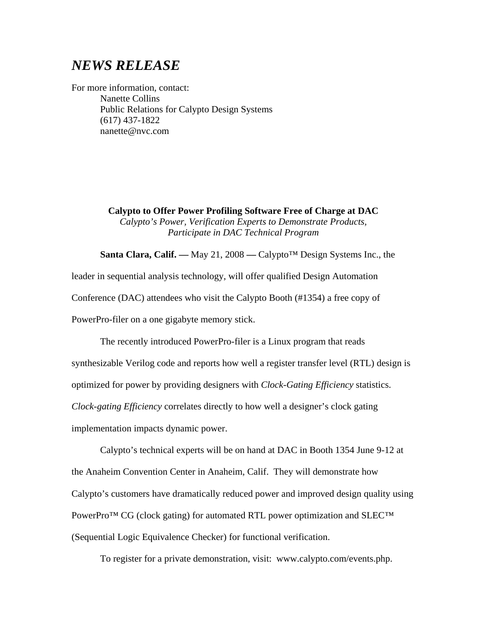## *NEWS RELEASE*

For more information, contact: Nanette Collins Public Relations for Calypto Design Systems (617) 437-1822 nanette@nvc.com

> **Calypto to Offer Power Profiling Software Free of Charge at DAC** *Calypto's Power, Verification Experts to Demonstrate Products, Participate in DAC Technical Program*

**Santa Clara, Calif. ––** May 21, 2008 **––** Calypto™ Design Systems Inc., the leader in sequential analysis technology, will offer qualified Design Automation Conference (DAC) attendees who visit the Calypto Booth (#1354) a free copy of PowerPro-filer on a one gigabyte memory stick.

The recently introduced PowerPro-filer is a Linux program that reads synthesizable Verilog code and reports how well a register transfer level (RTL) design is optimized for power by providing designers with *Clock-Gating Efficiency* statistics. *Clock-gating Efficiency* correlates directly to how well a designer's clock gating implementation impacts dynamic power.

Calypto's technical experts will be on hand at DAC in Booth 1354 June 9-12 at the Anaheim Convention Center in Anaheim, Calif. They will demonstrate how Calypto's customers have dramatically reduced power and improved design quality using PowerPro<sup>™</sup> CG (clock gating) for automated RTL power optimization and SLEC<sup>™</sup> (Sequential Logic Equivalence Checker) for functional verification.

To register for a private demonstration, visit: [www.calypto.com/events.php](http://www.calypto.com/events.php).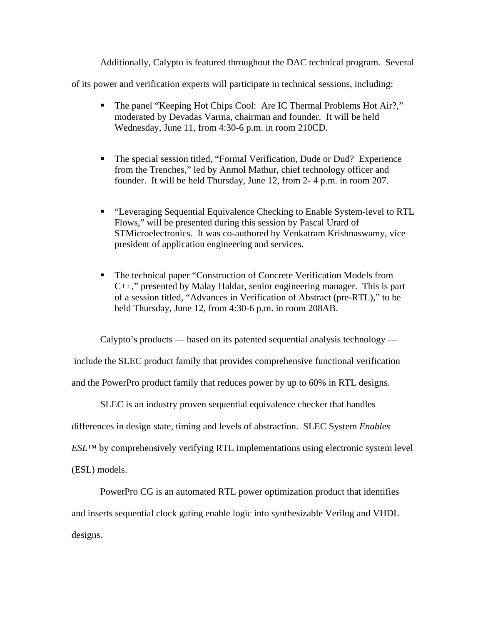Additionally, Calypto is featured throughout the DAC technical program. Several

of its power and verification experts will participate in technical sessions, including:

- The panel "Keeping Hot Chips Cool: Are IC Thermal Problems Hot Air?," moderated by Devadas Varma, chairman and founder. It will be held Wednesday, June 11, from 4:30-6 p.m. in room 210CD.
- The special session titled, "Formal Verification, Dude or Dud? Experience from the Trenches," led by Anmol Mathur, chief technology officer and founder. It will be held Thursday, June 12, from 2- 4 p.m. in room 207.
- "Leveraging Sequential Equivalence Checking to Enable System-level to RTL Flows," will be presented during this session by Pascal Urard of STMicroelectronics. It was co-authored by Venkatram Krishnaswamy, vice president of application engineering and services.
- The technical paper "Construction of Concrete Verification Models from C++," presented by Malay Haldar, senior engineering manager. This is part of a session titled, "Advances in Verification of Abstract (pre-RTL)," to be held Thursday, June 12, from 4:30-6 p.m. in room 208AB.

Calypto's products –– based on its patented sequential analysis technology –– include the SLEC product family that provides comprehensive functional verification and the PowerPro product family that reduces power by up to 60% in RTL designs.

SLEC is an industry proven sequential equivalence checker that handles

differences in design state, timing and levels of abstraction. SLEC System *Enables* 

*ESL*™ by comprehensively verifying RTL implementations using electronic system level

(ESL) models.

PowerPro CG is an automated RTL power optimization product that identifies and inserts sequential clock gating enable logic into synthesizable Verilog and VHDL designs.